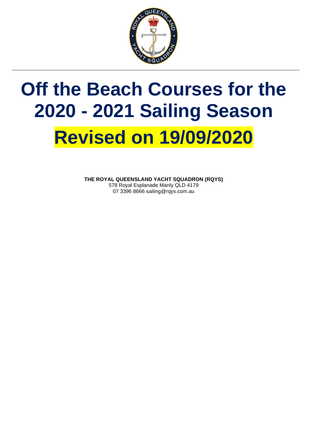

## **Off the Beach Courses for the 2020 - 2021 Sailing Season Revised on 19/09/2020**

**THE ROYAL QUEENSLAND YACHT SQUADRON (RQYS)** 578 Royal Esplanade Manly QLD 4179 07 3396 8666 sailing@rqys.com.au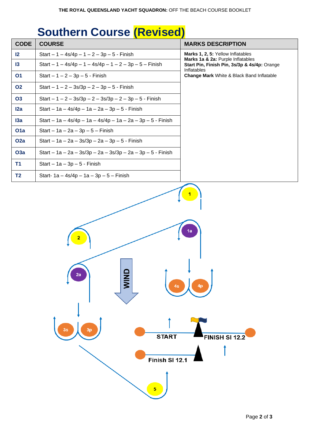## **Southern Course (Revised)**

| <b>CODE</b>      | <b>COURSE</b>                                                         | <b>MARKS DESCRIPTION</b>                                                                                                                                                           |  |
|------------------|-----------------------------------------------------------------------|------------------------------------------------------------------------------------------------------------------------------------------------------------------------------------|--|
| $\mathsf{I2}$    | Start $-1 - 4s/4p - 1 - 2 - 3p - 5 - F$ in ish                        | Marks 1, 2, 5: Yellow Inflatables<br>Marks 1a & 2a: Purple Inflatables<br>Start Pin, Finish Pin, 3s/3p & 4s/4p: Orange<br>Inflatables<br>Change Mark White & Black Band Inflatable |  |
| $\mathsf{I}3$    | Start $-1 - 4s/4p - 1 - 4s/4p - 1 - 2 - 3p - 5 - F$ inish             |                                                                                                                                                                                    |  |
| <b>O1</b>        | $Start - 1 - 2 - 3p - 5 - Finish$                                     |                                                                                                                                                                                    |  |
| <b>O2</b>        | Start $-1 - 2 - 3s/3p - 2 - 3p - 5 - F$ inish                         |                                                                                                                                                                                    |  |
| <b>O3</b>        | Start $-1 - 2 - 3s/3p - 2 - 3s/3p - 2 - 3p - 5 - F$ inish             |                                                                                                                                                                                    |  |
| 12a              | Start – 1a – 4s/4p – 1a – 2a – 3p – 5 - Finish                        |                                                                                                                                                                                    |  |
| 13a              | Start - 1a - 4s/4p - 1a - 4s/4p - 1a - 2a - 3p - 5 - Finish           |                                                                                                                                                                                    |  |
| O <sub>1</sub> a | $Start - 1a - 2a - 3p - 5 - Finish$                                   |                                                                                                                                                                                    |  |
| O <sub>2</sub> a | Start – $1a - 2a - 3s/3p - 2a - 3p - 5 - F$ inish                     |                                                                                                                                                                                    |  |
| <b>O3a</b>       | Start - $1a - 2a - 3s/3p - 2a - 3s/3p - 2a - 3p - 5 - Finish$         |                                                                                                                                                                                    |  |
| <b>T1</b>        | Start $-1a-3p-5$ - Finish                                             |                                                                                                                                                                                    |  |
| <b>T2</b>        | Start- $1a - 4s/4p - 1a - 3p - 5 - F$ inish                           |                                                                                                                                                                                    |  |
|                  | <b>AIMD</b><br>2a<br>4s<br>3s<br>3p<br><b>START</b><br>Finish SI 12.1 | 1a<br>4p<br><b>FINISH SI 12.2</b>                                                                                                                                                  |  |
|                  | $\overline{\mathbf{5}}$                                               |                                                                                                                                                                                    |  |